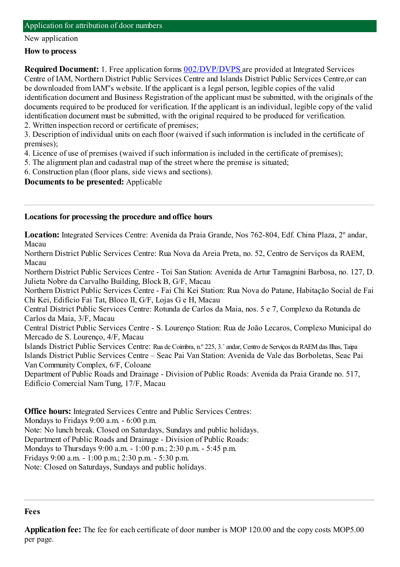### Application for attribution of door numbers

#### New application

### **How to process**

**Required Document:** 1. Free application forms  $002/DVP/DVPS$  are provided at Integrated Services Centre of IAM, Northern District Public Services Centre and Islands District Public Services Centre,or can be downloaded fromIAM''s website. If the applicant is a legal person, legible copies of the valid identification document and Business Registration of the applicant must be submitted, with the originals of the documents required to be produced for verification. If the applicant is an individual, legible copy of the valid identification document must be submitted, with the original required to be produced for verification.

2. Written inspection record or certificate of premises;

3. Description of individual units on each floor (waived if such information is included in the certificate of premises);

4. Licence of use of premises (waived if such information is included in the certificate of premises);

5. The alignment plan and cadastral map of the street where the premise is situated;

6. Construction plan (floor plans, side views and sections).

**Documents to be presented:** Applicable

### **Locations for processing the procedure and office hours**

**Location:** Integrated Services Centre: Avenida da Praia Grande, Nos 762-804, Edf. China Plaza, 2º andar, Macau

Northern District Public Services Centre: Rua Nova da Areia Preta, no. 52, Centro de Serviços da RAEM, Macau

Northern District Public Services Centre - Toi San Station: Avenida de Artur Tamagnini Barbosa, no. 127, D. Julieta Nobre da Carvalho Building, Block B, G/F, Macau

Northern District Public Services Centre - Fai Chi Kei Station: Rua Nova do Patane, Habitação Social de Fai Chi Kei, Edifício Fai Tat, Bloco II, G/F, Lojas G e H, Macau

Central District Public Services Centre: Rotunda de Carlos da Maia, nos. 5 e 7, Complexo da Rotunda de Carlos da Maia, 3/F, Macau

Central District Public Services Centre - S. Lourenço Station: Rua de João Lecaros, Complexo Municipal do Mercado de S. Lourenço, 4/F, Macau

Islands District Public Services Centre: Rua de Coimbra, n.º 225, 3.˚andar, Centro de Serviços da RAEMdas Ilhas, Taipa Islands District Public Services Centre – Seac Pai Van Station: Avenida de Vale das Borboletas, Seac Pai Van Community Complex, 6/F, Coloane

Department of Public Roads and Drainage - Division of Public Roads: Avenida da Praia Grande no. 517, Edifício Comercial NamTung, 17/F, Macau

**Office hours:** Integrated Services Centre and Public Services Centres: Mondays to Fridays 9:00 a.m. - 6:00 p.m.

Note: No lunch break. Closed on Saturdays, Sundays and public holidays.

Department of Public Roads and Drainage - Division of Public Roads:

Mondays to Thursdays 9:00 a.m. - 1:00 p.m.; 2:30 p.m. - 5:45 p.m.

Fridays 9:00 a.m. - 1:00 p.m.; 2:30 p.m. - 5:30 p.m.

Note: Closed on Saturdays, Sundays and public holidays.

#### **Fees**

**Application fee:** The fee for each certificate of door number is MOP 120.00 and the copy costs MOP5.00 per page.